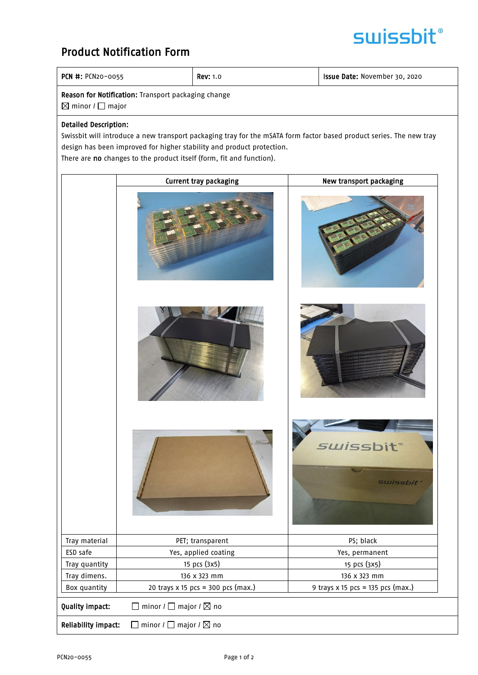## **swissbit**®

### Product Notification Form

|  | PCN #: PCN20-0055 |
|--|-------------------|
|  |                   |

 $\begin{array}{|c|c|c|c|c|}\n\hline\n\text{Rev: 1.0} & \text{I} & \text{I} & \text{I} & \text{I} & \text{I} & \text{I} & \text{I} & \text{I} & \text{I} & \text{I} & \text{I} & \text{I} & \text{I} & \text{I} & \text{I} & \text{I} & \text{I} & \text{I} & \text{I} & \text{I} & \text{I} & \text{I} & \text{I} & \text{I} & \text{I} & \text{I} & \text{I} & \text{I} & \text{I} & \text{I} & \text{I} & \$ 

Reason for Notification: Transport packaging change

 $\boxtimes$  minor /  $\square$  major

#### Detailed Description:

Swissbit will introduce a new transport packaging tray for the mSATA form factor based product series. The new tray design has been improved for higher stability and product protection. There are no changes to the product itself (form, fit and function).

Current tray packaging and the New transport packaging *swissbit* **SWISSbit** Tray material and the CET; transparent and the PS; black ESD safe The Yes, applied coating The Yes and Yes, permanent Tray quantity  $\begin{array}{|c|c|c|c|c|c|}\n\hline\n\end{array}$  15 pcs (3x5) 15 pcs (3x5) Tray dimens. 136 x 323 mm 136 x 323 mm Box quantity  $\begin{vmatrix} 20 \text{ trays } x \text{ 15 } p \text{ c} \text{s} = 300 p \text{ c} \text{s} \text{ (max.)} \end{vmatrix}$  9 trays x 15 pcs = 135 pcs (max.) **Quality impact:**  $\Box$  minor  $\prime$   $\Box$  major  $\prime$   $\boxtimes$  no **Reliability impact:**  $\Box$  minor /  $\Box$  major /  $\boxtimes$  no